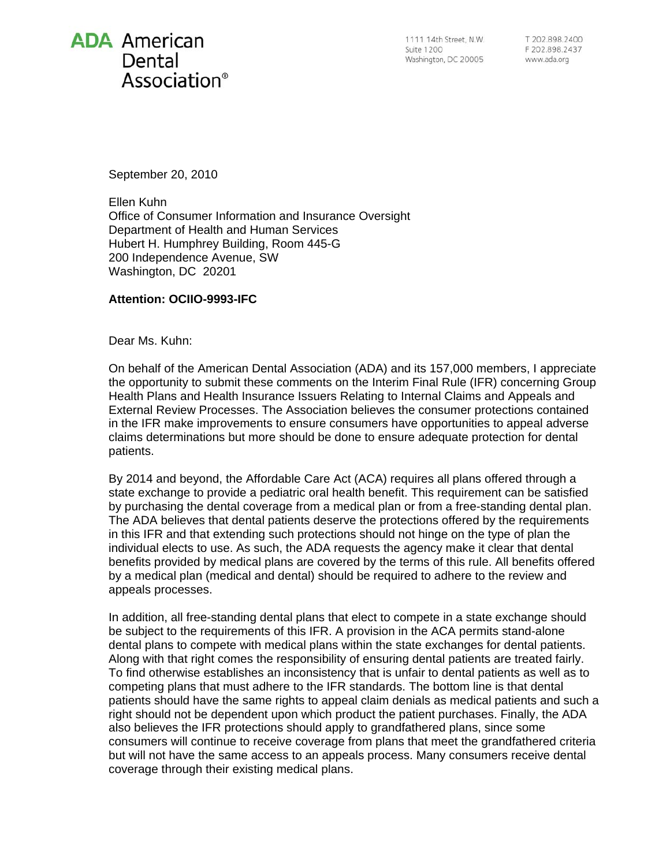## **ADA** American Dental Association<sup>®</sup>

1111 14th Street. N.W. **Suite 1200** Washington, DC 20005

T 202 898 2400 F 202.898.2437 www.ada.org

September 20, 2010

Ellen Kuhn Office of Consumer Information and Insurance Oversight Department of Health and Human Services Hubert H. Humphrey Building, Room 445-G 200 Independence Avenue, SW Washington, DC 20201

## **Attention: OCIIO-9993-IFC**

Dear Ms. Kuhn:

On behalf of the American Dental Association (ADA) and its 157,000 members, I appreciate the opportunity to submit these comments on the Interim Final Rule (IFR) concerning Group Health Plans and Health Insurance Issuers Relating to Internal Claims and Appeals and External Review Processes. The Association believes the consumer protections contained in the IFR make improvements to ensure consumers have opportunities to appeal adverse claims determinations but more should be done to ensure adequate protection for dental patients.

By 2014 and beyond, the Affordable Care Act (ACA) requires all plans offered through a state exchange to provide a pediatric oral health benefit. This requirement can be satisfied by purchasing the dental coverage from a medical plan or from a free-standing dental plan. The ADA believes that dental patients deserve the protections offered by the requirements in this IFR and that extending such protections should not hinge on the type of plan the individual elects to use. As such, the ADA requests the agency make it clear that dental benefits provided by medical plans are covered by the terms of this rule. All benefits offered by a medical plan (medical and dental) should be required to adhere to the review and appeals processes.

In addition, all free-standing dental plans that elect to compete in a state exchange should be subject to the requirements of this IFR. A provision in the ACA permits stand-alone dental plans to compete with medical plans within the state exchanges for dental patients. Along with that right comes the responsibility of ensuring dental patients are treated fairly. To find otherwise establishes an inconsistency that is unfair to dental patients as well as to competing plans that must adhere to the IFR standards. The bottom line is that dental patients should have the same rights to appeal claim denials as medical patients and such a right should not be dependent upon which product the patient purchases. Finally, the ADA also believes the IFR protections should apply to grandfathered plans, since some consumers will continue to receive coverage from plans that meet the grandfathered criteria but will not have the same access to an appeals process. Many consumers receive dental coverage through their existing medical plans.